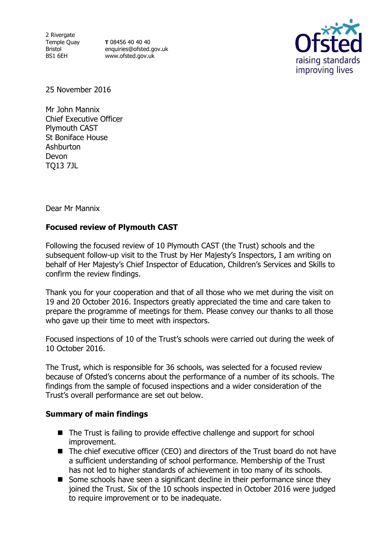2 Rivergate Temple Quay Bristol BS1 6EH

**T** 08456 40 40 40 enquiries@ofsted.gov.uk www.ofsted.gov.uk



25 November 2016

Mr John Mannix Chief Executive Officer Plymouth CAST St Boniface House **Ashburton** Devon TQ13 7JL

Dear Mr Mannix

### **Focused review of Plymouth CAST**

Following the focused review of 10 Plymouth CAST (the Trust) schools and the subsequent follow-up visit to the Trust by Her Majesty's Inspectors, I am writing on behalf of Her Majesty's Chief Inspector of Education, Children's Services and Skills to confirm the review findings.

Thank you for your cooperation and that of all those who we met during the visit on 19 and 20 October 2016. Inspectors greatly appreciated the time and care taken to prepare the programme of meetings for them. Please convey our thanks to all those who gave up their time to meet with inspectors.

Focused inspections of 10 of the Trust's schools were carried out during the week of 10 October 2016.

The Trust, which is responsible for 36 schools, was selected for a focused review because of Ofsted's concerns about the performance of a number of its schools. The findings from the sample of focused inspections and a wider consideration of the Trust's overall performance are set out below.

#### **Summary of main findings**

- The Trust is failing to provide effective challenge and support for school improvement.
- The chief executive officer (CEO) and directors of the Trust board do not have a sufficient understanding of school performance. Membership of the Trust has not led to higher standards of achievement in too many of its schools.
- Some schools have seen a significant decline in their performance since they joined the Trust. Six of the 10 schools inspected in October 2016 were judged to require improvement or to be inadequate.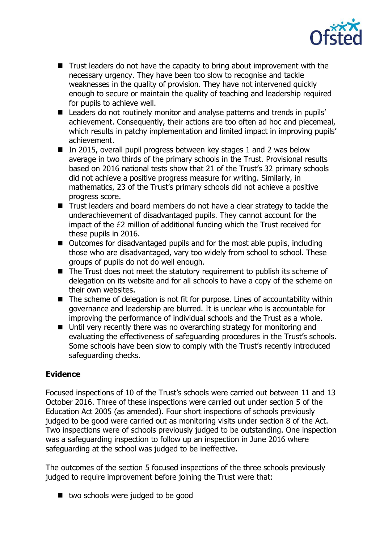

- Trust leaders do not have the capacity to bring about improvement with the necessary urgency. They have been too slow to recognise and tackle weaknesses in the quality of provision. They have not intervened quickly enough to secure or maintain the quality of teaching and leadership required for pupils to achieve well.
- Leaders do not routinely monitor and analyse patterns and trends in pupils' achievement. Consequently, their actions are too often ad hoc and piecemeal, which results in patchy implementation and limited impact in improving pupils' achievement.
- In 2015, overall pupil progress between key stages 1 and 2 was below average in two thirds of the primary schools in the Trust. Provisional results based on 2016 national tests show that 21 of the Trust's 32 primary schools did not achieve a positive progress measure for writing. Similarly, in mathematics, 23 of the Trust's primary schools did not achieve a positive progress score.
- Trust leaders and board members do not have a clear strategy to tackle the underachievement of disadvantaged pupils. They cannot account for the impact of the £2 million of additional funding which the Trust received for these pupils in 2016.
- Outcomes for disadvantaged pupils and for the most able pupils, including those who are disadvantaged, vary too widely from school to school. These groups of pupils do not do well enough.
- The Trust does not meet the statutory requirement to publish its scheme of delegation on its website and for all schools to have a copy of the scheme on their own websites.
- The scheme of delegation is not fit for purpose. Lines of accountability within governance and leadership are blurred. It is unclear who is accountable for improving the performance of individual schools and the Trust as a whole.
- Until very recently there was no overarching strategy for monitoring and evaluating the effectiveness of safeguarding procedures in the Trust's schools. Some schools have been slow to comply with the Trust's recently introduced safeguarding checks.

## **Evidence**

Focused inspections of 10 of the Trust's schools were carried out between 11 and 13 October 2016. Three of these inspections were carried out under section 5 of the Education Act 2005 (as amended). Four short inspections of schools previously judged to be good were carried out as monitoring visits under section 8 of the Act. Two inspections were of schools previously judged to be outstanding. One inspection was a safeguarding inspection to follow up an inspection in June 2016 where safeguarding at the school was judged to be ineffective.

The outcomes of the section 5 focused inspections of the three schools previously judged to require improvement before joining the Trust were that:

■ two schools were judged to be good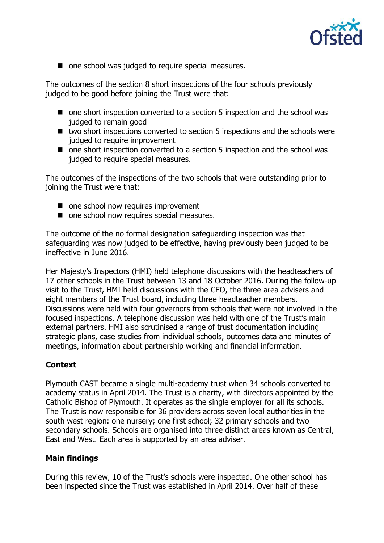

■ one school was judged to require special measures.

The outcomes of the section 8 short inspections of the four schools previously judged to be good before joining the Trust were that:

- one short inspection converted to a section 5 inspection and the school was judged to remain good
- two short inspections converted to section 5 inspections and the schools were judged to require improvement
- one short inspection converted to a section 5 inspection and the school was judged to require special measures.

The outcomes of the inspections of the two schools that were outstanding prior to joining the Trust were that:

- one school now requires improvement
- one school now requires special measures.

The outcome of the no formal designation safeguarding inspection was that safeguarding was now judged to be effective, having previously been judged to be ineffective in June 2016.

Her Majesty's Inspectors (HMI) held telephone discussions with the headteachers of 17 other schools in the Trust between 13 and 18 October 2016. During the follow-up visit to the Trust, HMI held discussions with the CEO, the three area advisers and eight members of the Trust board, including three headteacher members. Discussions were held with four governors from schools that were not involved in the focused inspections. A telephone discussion was held with one of the Trust's main external partners. HMI also scrutinised a range of trust documentation including strategic plans, case studies from individual schools, outcomes data and minutes of meetings, information about partnership working and financial information.

#### **Context**

Plymouth CAST became a single multi-academy trust when 34 schools converted to academy status in April 2014. The Trust is a charity, with directors appointed by the Catholic Bishop of Plymouth. It operates as the single employer for all its schools. The Trust is now responsible for 36 providers across seven local authorities in the south west region: one nursery; one first school; 32 primary schools and two secondary schools. Schools are organised into three distinct areas known as Central, East and West. Each area is supported by an area adviser.

#### **Main findings**

During this review, 10 of the Trust's schools were inspected. One other school has been inspected since the Trust was established in April 2014. Over half of these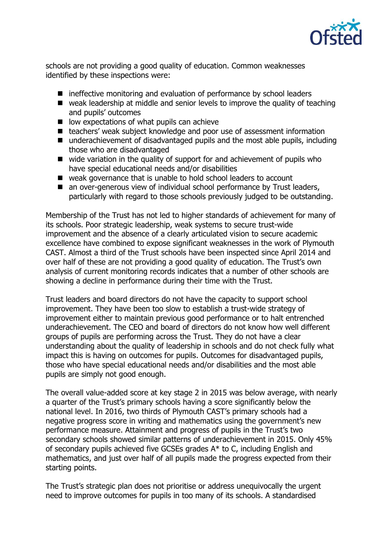

schools are not providing a good quality of education. Common weaknesses identified by these inspections were:

- ineffective monitoring and evaluation of performance by school leaders
- weak leadership at middle and senior levels to improve the quality of teaching and pupils' outcomes
- $\blacksquare$  low expectations of what pupils can achieve
- teachers' weak subject knowledge and poor use of assessment information
- underachievement of disadvantaged pupils and the most able pupils, including those who are disadvantaged
- wide variation in the quality of support for and achievement of pupils who have special educational needs and/or disabilities
- weak governance that is unable to hold school leaders to account
- an over-generous view of individual school performance by Trust leaders, particularly with regard to those schools previously judged to be outstanding.

Membership of the Trust has not led to higher standards of achievement for many of its schools. Poor strategic leadership, weak systems to secure trust-wide improvement and the absence of a clearly articulated vision to secure academic excellence have combined to expose significant weaknesses in the work of Plymouth CAST. Almost a third of the Trust schools have been inspected since April 2014 and over half of these are not providing a good quality of education. The Trust's own analysis of current monitoring records indicates that a number of other schools are showing a decline in performance during their time with the Trust.

Trust leaders and board directors do not have the capacity to support school improvement. They have been too slow to establish a trust-wide strategy of improvement either to maintain previous good performance or to halt entrenched underachievement. The CEO and board of directors do not know how well different groups of pupils are performing across the Trust. They do not have a clear understanding about the quality of leadership in schools and do not check fully what impact this is having on outcomes for pupils. Outcomes for disadvantaged pupils, those who have special educational needs and/or disabilities and the most able pupils are simply not good enough.

The overall value-added score at key stage 2 in 2015 was below average, with nearly a quarter of the Trust's primary schools having a score significantly below the national level. In 2016, two thirds of Plymouth CAST's primary schools had a negative progress score in writing and mathematics using the government's new performance measure. Attainment and progress of pupils in the Trust's two secondary schools showed similar patterns of underachievement in 2015. Only 45% of secondary pupils achieved five GCSEs grades A\* to C, including English and mathematics, and just over half of all pupils made the progress expected from their starting points.

The Trust's strategic plan does not prioritise or address unequivocally the urgent need to improve outcomes for pupils in too many of its schools. A standardised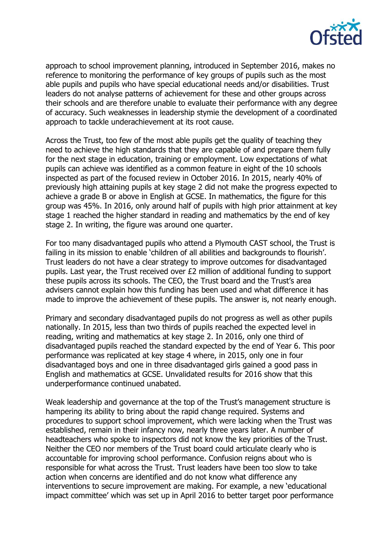

approach to school improvement planning, introduced in September 2016, makes no reference to monitoring the performance of key groups of pupils such as the most able pupils and pupils who have special educational needs and/or disabilities. Trust leaders do not analyse patterns of achievement for these and other groups across their schools and are therefore unable to evaluate their performance with any degree of accuracy. Such weaknesses in leadership stymie the development of a coordinated approach to tackle underachievement at its root cause.

Across the Trust, too few of the most able pupils get the quality of teaching they need to achieve the high standards that they are capable of and prepare them fully for the next stage in education, training or employment. Low expectations of what pupils can achieve was identified as a common feature in eight of the 10 schools inspected as part of the focused review in October 2016. In 2015, nearly 40% of previously high attaining pupils at key stage 2 did not make the progress expected to achieve a grade B or above in English at GCSE. In mathematics, the figure for this group was 45%. In 2016, only around half of pupils with high prior attainment at key stage 1 reached the higher standard in reading and mathematics by the end of key stage 2. In writing, the figure was around one quarter.

For too many disadvantaged pupils who attend a Plymouth CAST school, the Trust is failing in its mission to enable 'children of all abilities and backgrounds to flourish'. Trust leaders do not have a clear strategy to improve outcomes for disadvantaged pupils. Last year, the Trust received over £2 million of additional funding to support these pupils across its schools. The CEO, the Trust board and the Trust's area advisers cannot explain how this funding has been used and what difference it has made to improve the achievement of these pupils. The answer is, not nearly enough.

Primary and secondary disadvantaged pupils do not progress as well as other pupils nationally. In 2015, less than two thirds of pupils reached the expected level in reading, writing and mathematics at key stage 2. In 2016, only one third of disadvantaged pupils reached the standard expected by the end of Year 6. This poor performance was replicated at key stage 4 where, in 2015, only one in four disadvantaged boys and one in three disadvantaged girls gained a good pass in English and mathematics at GCSE. Unvalidated results for 2016 show that this underperformance continued unabated.

Weak leadership and governance at the top of the Trust's management structure is hampering its ability to bring about the rapid change required. Systems and procedures to support school improvement, which were lacking when the Trust was established, remain in their infancy now, nearly three years later. A number of headteachers who spoke to inspectors did not know the key priorities of the Trust. Neither the CEO nor members of the Trust board could articulate clearly who is accountable for improving school performance. Confusion reigns about who is responsible for what across the Trust. Trust leaders have been too slow to take action when concerns are identified and do not know what difference any interventions to secure improvement are making. For example, a new 'educational impact committee' which was set up in April 2016 to better target poor performance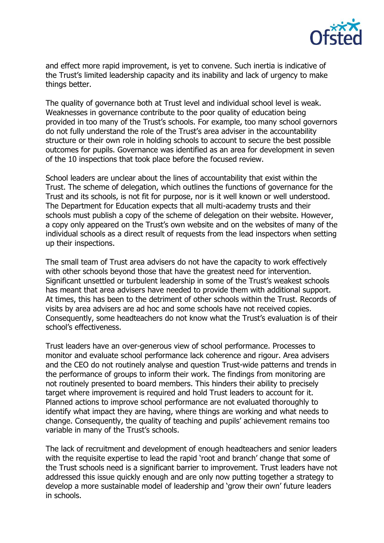

and effect more rapid improvement, is yet to convene. Such inertia is indicative of the Trust's limited leadership capacity and its inability and lack of urgency to make things better.

The quality of governance both at Trust level and individual school level is weak. Weaknesses in governance contribute to the poor quality of education being provided in too many of the Trust's schools. For example, too many school governors do not fully understand the role of the Trust's area adviser in the accountability structure or their own role in holding schools to account to secure the best possible outcomes for pupils. Governance was identified as an area for development in seven of the 10 inspections that took place before the focused review.

School leaders are unclear about the lines of accountability that exist within the Trust. The scheme of delegation, which outlines the functions of governance for the Trust and its schools, is not fit for purpose, nor is it well known or well understood. The Department for Education expects that all multi-academy trusts and their schools must publish a copy of the scheme of delegation on their website. However, a copy only appeared on the Trust's own website and on the websites of many of the individual schools as a direct result of requests from the lead inspectors when setting up their inspections.

The small team of Trust area advisers do not have the capacity to work effectively with other schools beyond those that have the greatest need for intervention. Significant unsettled or turbulent leadership in some of the Trust's weakest schools has meant that area advisers have needed to provide them with additional support. At times, this has been to the detriment of other schools within the Trust. Records of visits by area advisers are ad hoc and some schools have not received copies. Consequently, some headteachers do not know what the Trust's evaluation is of their school's effectiveness.

Trust leaders have an over-generous view of school performance. Processes to monitor and evaluate school performance lack coherence and rigour. Area advisers and the CEO do not routinely analyse and question Trust-wide patterns and trends in the performance of groups to inform their work. The findings from monitoring are not routinely presented to board members. This hinders their ability to precisely target where improvement is required and hold Trust leaders to account for it. Planned actions to improve school performance are not evaluated thoroughly to identify what impact they are having, where things are working and what needs to change. Consequently, the quality of teaching and pupils' achievement remains too variable in many of the Trust's schools.

The lack of recruitment and development of enough headteachers and senior leaders with the requisite expertise to lead the rapid 'root and branch' change that some of the Trust schools need is a significant barrier to improvement. Trust leaders have not addressed this issue quickly enough and are only now putting together a strategy to develop a more sustainable model of leadership and 'grow their own' future leaders in schools.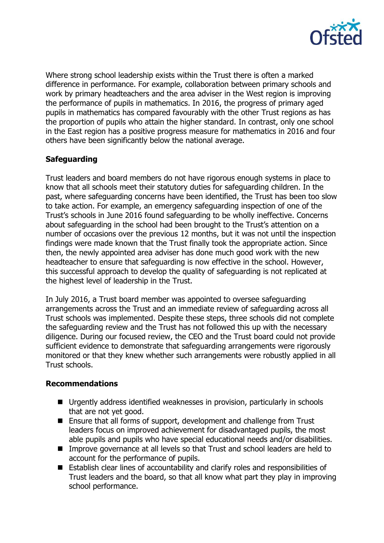

Where strong school leadership exists within the Trust there is often a marked difference in performance. For example, collaboration between primary schools and work by primary headteachers and the area adviser in the West region is improving the performance of pupils in mathematics. In 2016, the progress of primary aged pupils in mathematics has compared favourably with the other Trust regions as has the proportion of pupils who attain the higher standard. In contrast, only one school in the East region has a positive progress measure for mathematics in 2016 and four others have been significantly below the national average.

## **Safeguarding**

Trust leaders and board members do not have rigorous enough systems in place to know that all schools meet their statutory duties for safeguarding children. In the past, where safeguarding concerns have been identified, the Trust has been too slow to take action. For example, an emergency safeguarding inspection of one of the Trust's schools in June 2016 found safeguarding to be wholly ineffective. Concerns about safeguarding in the school had been brought to the Trust's attention on a number of occasions over the previous 12 months, but it was not until the inspection findings were made known that the Trust finally took the appropriate action. Since then, the newly appointed area adviser has done much good work with the new headteacher to ensure that safeguarding is now effective in the school. However, this successful approach to develop the quality of safeguarding is not replicated at the highest level of leadership in the Trust.

In July 2016, a Trust board member was appointed to oversee safeguarding arrangements across the Trust and an immediate review of safeguarding across all Trust schools was implemented. Despite these steps, three schools did not complete the safeguarding review and the Trust has not followed this up with the necessary diligence. During our focused review, the CEO and the Trust board could not provide sufficient evidence to demonstrate that safeguarding arrangements were rigorously monitored or that they knew whether such arrangements were robustly applied in all Trust schools.

#### **Recommendations**

- Urgently address identified weaknesses in provision, particularly in schools that are not yet good.
- Ensure that all forms of support, development and challenge from Trust leaders focus on improved achievement for disadvantaged pupils, the most able pupils and pupils who have special educational needs and/or disabilities.
- Improve governance at all levels so that Trust and school leaders are held to account for the performance of pupils.
- Establish clear lines of accountability and clarify roles and responsibilities of Trust leaders and the board, so that all know what part they play in improving school performance.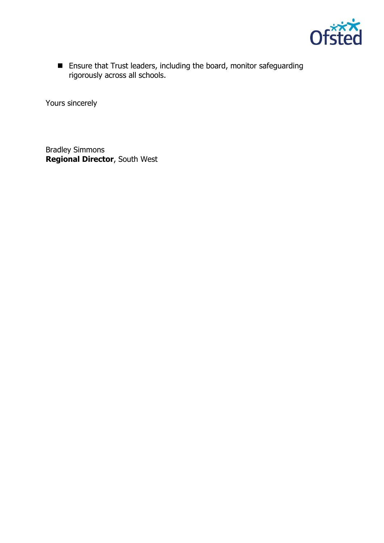

■ Ensure that Trust leaders, including the board, monitor safeguarding rigorously across all schools.

Yours sincerely

Bradley Simmons **Regional Director**, South West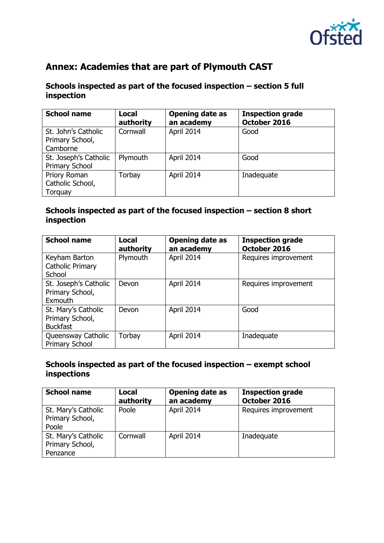

# **Annex: Academies that are part of Plymouth CAST**

#### **Schools inspected as part of the focused inspection – section 5 full inspection**

| <b>School name</b>    | <b>Local</b><br>authority | <b>Opening date as</b><br>an academy | <b>Inspection grade</b><br>October 2016 |
|-----------------------|---------------------------|--------------------------------------|-----------------------------------------|
| St. John's Catholic   | Cornwall                  | April 2014                           | Good                                    |
| Primary School,       |                           |                                      |                                         |
| Camborne              |                           |                                      |                                         |
| St. Joseph's Catholic | Plymouth                  | April 2014                           | Good                                    |
| Primary School        |                           |                                      |                                         |
| Priory Roman          | Torbay                    | April 2014                           | Inadequate                              |
| Catholic School,      |                           |                                      |                                         |
| Torquay               |                           |                                      |                                         |

## **Schools inspected as part of the focused inspection – section 8 short inspection**

| <b>School name</b>                                        | Local<br>authority | <b>Opening date as</b><br>an academy | <b>Inspection grade</b><br>October 2016 |
|-----------------------------------------------------------|--------------------|--------------------------------------|-----------------------------------------|
| Keyham Barton<br><b>Catholic Primary</b><br>School        | Plymouth           | April 2014                           | Requires improvement                    |
| St. Joseph's Catholic<br>Primary School,<br>Exmouth       | Devon              | April 2014                           | Requires improvement                    |
| St. Mary's Catholic<br>Primary School,<br><b>Buckfast</b> | Devon              | April 2014                           | Good                                    |
| Queensway Catholic<br>Primary School                      | Torbay             | April 2014                           | Inadequate                              |

### **Schools inspected as part of the focused inspection – exempt school inspections**

| <b>School name</b>                                 | Local<br>authority | <b>Opening date as</b><br>an academy | <b>Inspection grade</b><br>October 2016 |
|----------------------------------------------------|--------------------|--------------------------------------|-----------------------------------------|
| St. Mary's Catholic<br>Primary School,<br>Poole    | Poole              | April 2014                           | Requires improvement                    |
| St. Mary's Catholic<br>Primary School,<br>Penzance | Cornwall           | April 2014                           | Inadequate                              |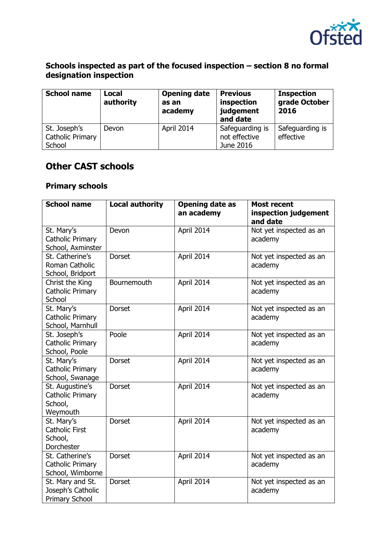

#### **Schools inspected as part of the focused inspection – section 8 no formal designation inspection**

| <b>School name</b>                                | <b>Local</b><br>authority | <b>Opening date</b><br>as an<br>academy | <b>Previous</b><br>inspection<br>judgement<br>and date | <b>Inspection</b><br>grade October<br>2016 |
|---------------------------------------------------|---------------------------|-----------------------------------------|--------------------------------------------------------|--------------------------------------------|
| St. Joseph's<br><b>Catholic Primary</b><br>School | Devon                     | April 2014                              | Safeguarding is<br>not effective<br>June 2016          | Safeguarding is<br>effective               |

# **Other CAST schools**

### **Primary schools**

| <b>School name</b>                                                | <b>Local authority</b> | <b>Opening date as</b><br>an academy | <b>Most recent</b><br>inspection judgement     |
|-------------------------------------------------------------------|------------------------|--------------------------------------|------------------------------------------------|
| St. Mary's<br><b>Catholic Primary</b><br>School, Axminster        | Devon                  | April 2014                           | and date<br>Not yet inspected as an<br>academy |
| St. Catherine's<br>Roman Catholic<br>School, Bridport             | <b>Dorset</b>          | April 2014                           | Not yet inspected as an<br>academy             |
| Christ the King<br><b>Catholic Primary</b><br>School              | Bournemouth            | April 2014                           | Not yet inspected as an<br>academy             |
| St. Mary's<br><b>Catholic Primary</b><br>School, Marnhull         | <b>Dorset</b>          | April 2014                           | Not yet inspected as an<br>academy             |
| St. Joseph's<br><b>Catholic Primary</b><br>School, Poole          | Poole                  | April 2014                           | Not yet inspected as an<br>academy             |
| St. Mary's<br><b>Catholic Primary</b><br>School, Swanage          | <b>Dorset</b>          | April 2014                           | Not yet inspected as an<br>academy             |
| St. Augustine's<br><b>Catholic Primary</b><br>School,<br>Weymouth | <b>Dorset</b>          | April 2014                           | Not yet inspected as an<br>academy             |
| St. Mary's<br><b>Catholic First</b><br>School,<br>Dorchester      | <b>Dorset</b>          | April 2014                           | Not yet inspected as an<br>academy             |
| St. Catherine's<br><b>Catholic Primary</b><br>School, Wimborne    | <b>Dorset</b>          | April 2014                           | Not yet inspected as an<br>academy             |
| St. Mary and St.<br>Joseph's Catholic<br><b>Primary School</b>    | <b>Dorset</b>          | April 2014                           | Not yet inspected as an<br>academy             |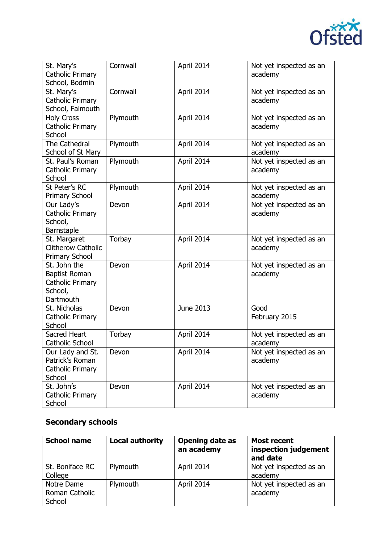

| St. Mary's<br>Catholic Primary<br>School, Bodmin                          | Cornwall | April 2014 | Not yet inspected as an<br>academy |
|---------------------------------------------------------------------------|----------|------------|------------------------------------|
| St. Mary's<br><b>Catholic Primary</b><br>School, Falmouth                 | Cornwall | April 2014 | Not yet inspected as an<br>academy |
| <b>Holy Cross</b><br><b>Catholic Primary</b><br>School                    | Plymouth | April 2014 | Not yet inspected as an<br>academy |
| The Cathedral<br>School of St Mary                                        | Plymouth | April 2014 | Not yet inspected as an<br>academy |
| St. Paul's Roman<br><b>Catholic Primary</b><br>School                     | Plymouth | April 2014 | Not yet inspected as an<br>academy |
| St Peter's RC<br><b>Primary School</b>                                    | Plymouth | April 2014 | Not yet inspected as an<br>academy |
| Our Lady's<br><b>Catholic Primary</b><br>School,<br>Barnstaple            | Devon    | April 2014 | Not yet inspected as an<br>academy |
| St. Margaret<br>Clitherow Catholic<br><b>Primary School</b>               | Torbay   | April 2014 | Not yet inspected as an<br>academy |
| St. John the<br>Baptist Roman<br>Catholic Primary<br>School,<br>Dartmouth | Devon    | April 2014 | Not yet inspected as an<br>academy |
| St. Nicholas<br>Catholic Primary<br>School                                | Devon    | June 2013  | Good<br>February 2015              |
| Sacred Heart<br><b>Catholic School</b>                                    | Torbay   | April 2014 | Not yet inspected as an<br>academy |
| Our Lady and St.<br>Patrick's Roman<br>Catholic Primary<br>School         | Devon    | April 2014 | Not yet inspected as an<br>academy |
| St. John's<br>Catholic Primary<br>School                                  | Devon    | April 2014 | Not yet inspected as an<br>academy |

# **Secondary schools**

| <b>School name</b>                     | <b>Local authority</b> | <b>Opening date as</b><br>an academy | <b>Most recent</b><br>inspection judgement<br>and date |
|----------------------------------------|------------------------|--------------------------------------|--------------------------------------------------------|
| St. Boniface RC<br>College             | Plymouth               | April 2014                           | Not yet inspected as an<br>academy                     |
| Notre Dame<br>Roman Catholic<br>School | Plymouth               | April 2014                           | Not yet inspected as an<br>academy                     |